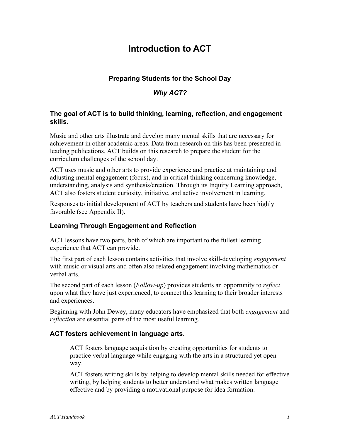# **Introduction to ACT**

# **Preparing Students for the School Day**

# *Why ACT?*

# **The goal of ACT is to build thinking, learning, reflection, and engagement skills.**

Music and other arts illustrate and develop many mental skills that are necessary for achievement in other academic areas. Data from research on this has been presented in leading publications. ACT builds on this research to prepare the student for the curriculum challenges of the school day.

ACT uses music and other arts to provide experience and practice at maintaining and adjusting mental engagement (focus), and in critical thinking concerning knowledge, understanding, analysis and synthesis/creation. Through its Inquiry Learning approach, ACT also fosters student curiosity, initiative, and active involvement in learning.

Responses to initial development of ACT by teachers and students have been highly favorable (see Appendix II).

## **Learning Through Engagement and Reflection**

ACT lessons have two parts, both of which are important to the fullest learning experience that ACT can provide.

The first part of each lesson contains activities that involve skill-developing *engagement* with music or visual arts and often also related engagement involving mathematics or verbal arts.

The second part of each lesson (*Follow-up*) provides students an opportunity to *reflect* upon what they have just experienced, to connect this learning to their broader interests and experiences.

Beginning with John Dewey, many educators have emphasized that both *engagement* and *reflection* are essential parts of the most useful learning.

#### **ACT fosters achievement in language arts.**

ACT fosters language acquisition by creating opportunities for students to practice verbal language while engaging with the arts in a structured yet open way.

ACT fosters writing skills by helping to develop mental skills needed for effective writing, by helping students to better understand what makes written language effective and by providing a motivational purpose for idea formation.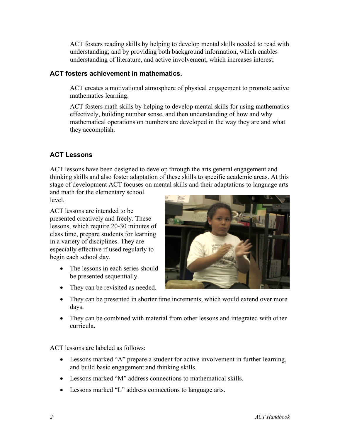ACT fosters reading skills by helping to develop mental skills needed to read with understanding; and by providing both background information, which enables understanding of literature, and active involvement, which increases interest.

# **ACT fosters achievement in mathematics.**

ACT creates a motivational atmosphere of physical engagement to promote active mathematics learning.

ACT fosters math skills by helping to develop mental skills for using mathematics effectively, building number sense, and then understanding of how and why mathematical operations on numbers are developed in the way they are and what they accomplish.

# **ACT Lessons**

ACT lessons have been designed to develop through the arts general engagement and thinking skills and also foster adaptation of these skills to specific academic areas. At this stage of development ACT focuses on mental skills and their adaptations to language arts

and math for the elementary school level.

ACT lessons are intended to be presented creatively and freely. These lessons, which require 20-30 minutes of class time, prepare students for learning in a variety of disciplines. They are especially effective if used regularly to begin each school day.

- The lessons in each series should be presented sequentially.
- They can be revisited as needed.



- They can be presented in shorter time increments, which would extend over more days.
- They can be combined with material from other lessons and integrated with other curricula.

ACT lessons are labeled as follows:

- Lessons marked "A" prepare a student for active involvement in further learning, and build basic engagement and thinking skills.
- Lessons marked "M" address connections to mathematical skills.
- Lessons marked "L" address connections to language arts.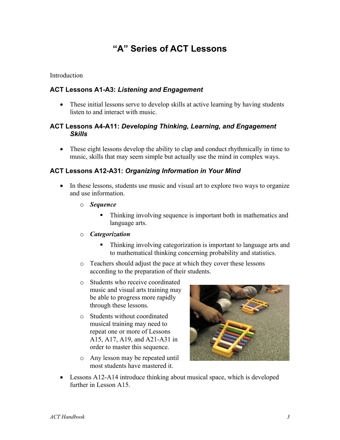# **"A" Series of ACT Lessons**

#### **Introduction**

### **ACT Lessons A1-A3:** *Listening and Engagement*

• These initial lessons serve to develop skills at active learning by having students listen to and interact with music.

### **ACT Lessons A4-A11:** *Developing Thinking, Learning, and Engagement Skills*

• These eight lessons develop the ability to clap and conduct rhythmically in time to music, skills that may seem simple but actually use the mind in complex ways.

### **ACT Lessons A12-A31:** *Organizing Information in Your Mind*

- In these lessons, students use music and visual art to explore two ways to organize and use information.
	- o *Sequence*
		- Thinking involving sequence is important both in mathematics and language arts.
	- o *Categorization*
		- Thinking involving categorization is important to language arts and to mathematical thinking concerning probability and statistics.
	- o Teachers should adjust the pace at which they cover these lessons according to the preparation of their students.
	- o Students who receive coordinated music and visual arts training may be able to progress more rapidly through these lessons.
	- o Students without coordinated musical training may need to repeat one or more of Lessons A15, A17, A19, and A21-A31 in order to master this sequence.
	- o Any lesson may be repeated until most students have mastered it.



• Lessons A12-A14 introduce thinking about musical space, which is developed further in Lesson A15.